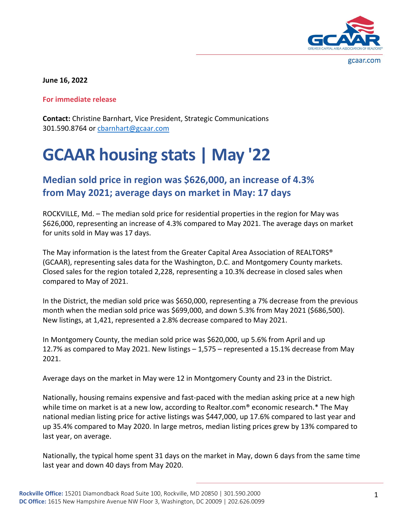

gcaar.com

**June 16, 2022**

**For immediate release**

**Contact:** Christine Barnhart, Vice President, Strategic Communications 301.590.8764 o[r cbarnhart@gcaar.com](mailto:cbarnhart@gcaar.com)

## **GCAAR housing stats | May '22**

**Median sold price in region was \$626,000, an increase of 4.3% from May 2021; average days on market in May: 17 days**

ROCKVILLE, Md. – The median sold price for residential properties in the region for May was \$626,000, representing an increase of 4.3% compared to May 2021. The average days on market for units sold in May was 17 days.

The May information is the latest from the Greater Capital Area Association of REALTORS® (GCAAR), representing sales data for the Washington, D.C. and Montgomery County markets. Closed sales for the region totaled 2,228, representing a 10.3% decrease in closed sales when compared to May of 2021.

In the District, the median sold price was \$650,000, representing a 7% decrease from the previous month when the median sold price was \$699,000, and down 5.3% from May 2021 (\$686,500). New listings, at 1,421, represented a 2.8% decrease compared to May 2021.

In Montgomery County, the median sold price was \$620,000, up 5.6% from April and up 12.7% as compared to May 2021. New listings – 1,575 – represented a 15.1% decrease from May 2021.

Average days on the market in May were 12 in Montgomery County and 23 in the District.

Nationally, housing remains expensive and fast-paced with the median asking price at a new high while time on market is at a new low, according to Realtor.com<sup>®</sup> economic research.\* The May national median listing price for active listings was \$447,000, up 17.6% compared to last year and up 35.4% compared to May 2020. In large metros, median listing prices grew by 13% compared to last year, on average.

Nationally, the typical home spent 31 days on the market in May, down 6 days from the same time last year and down 40 days from May 2020.